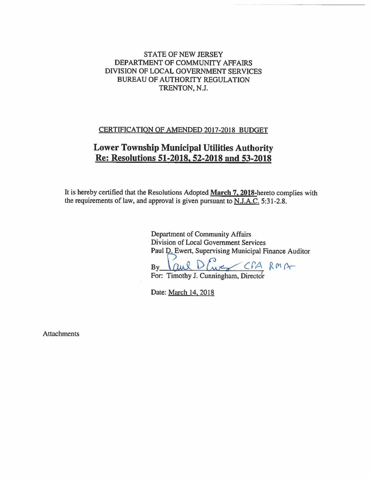# **STATE OF NEW JERSEY** DEPARTMENT OF COMMUNITY AFFAIRS DIVISION OF LOCAL GOVERNMENT SERVICES **BUREAU OF AUTHORITY REGULATION** TRENTON, N.J.

## CERTIFICATION OF AMENDED 2017-2018 BUDGET

# **Lower Township Municipal Utilities Authority** Re: Resolutions 51-2018, 52-2018 and 53-2018

It is hereby certified that the Resolutions Adopted March 7, 2018-hereto complies with the requirements of law, and approval is given pursuant to N.J.A.C. 5:31-2.8.

> **Department of Community Affairs** Division of Local Government Services Paul D. Ewert, Supervising Municipal Finance Auditor

WE CPA RMA  $\Omega$ us  $R$ D By

For: Timothy J. Cunningham, Director

Date: March 14, 2018

**Attachments**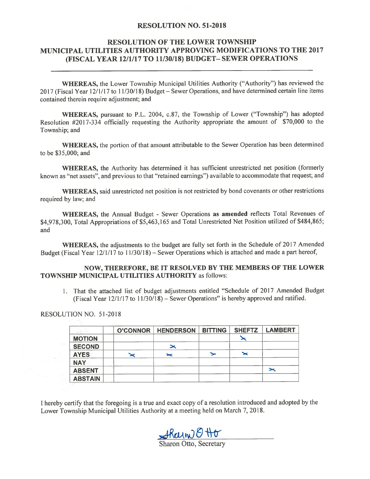## **RESOLUTION NO. 51-2018**

## **RESOLUTION OF THE LOWER TOWNSHIP** MUNICIPAL UTILITIES AUTHORITY APPROVING MODIFICATIONS TO THE 2017 (FISCAL YEAR 12/1/17 TO 11/30/18) BUDGET- SEWER OPERATIONS

WHEREAS, the Lower Township Municipal Utilities Authority ("Authority") has reviewed the 2017 (Fiscal Year 12/1/17 to 11/30/18) Budget – Sewer Operations, and have determined certain line items contained therein require adjustment; and

**WHEREAS, pursuant to P.L. 2004, c.87, the Township of Lower ("Township") has adopted** Resolution #2017-334 officially requesting the Authority appropriate the amount of \$70,000 to the Township; and

WHEREAS, the portion of that amount attributable to the Sewer Operation has been determined to be \$35,000; and

WHEREAS, the Authority has determined it has sufficient unrestricted net position (formerly known as "net assets", and previous to that "retained earnings" available to accommodate that request; and

WHEREAS, said unrestricted net position is not restricted by bond covenants or other restrictions required by law; and

**WHEREAS, the Annual Budget - Sewer Operations as amended reflects Total Revenues of** \$4,978,300, Total Appropriations of \$5,463,165 and Total Unrestricted Net Position utilized of \$484,865; and

WHEREAS, the adjustments to the budget are fully set forth in the Schedule of 2017 Amended Budget (Fiscal Year 12/1/17 to 11/30/18) – Sewer Operations which is attached and made a part hereof,

## NOW, THEREFORE, BE IT RESOLVED BY THE MEMBERS OF THE LOWER **TOWNSHIP MUNICIPAL UTILITIES AUTHORITY as follows:**

1. That the attached list of budget adjustments entitled "Schedule of 2017 Amended Budget (Fiscal Year  $12/1/17$  to  $11/30/18$ ) – Sewer Operations" is hereby approved and ratified.

RESOLUTION NO. 51-2018

|                | <b>O'CONNOR   HENDERSON</b> | <b>BITTING</b> | <b>SHEFTZ</b> | <b>LAMBERT</b> |
|----------------|-----------------------------|----------------|---------------|----------------|
| <b>MOTION</b>  |                             |                |               |                |
| <b>SECOND</b>  | $\blacktriangleright$       |                |               |                |
| <b>AYES</b>    | ➤                           |                | ➤             |                |
| <b>NAY</b>     |                             |                |               |                |
| <b>ABSENT</b>  |                             |                |               | ≍              |
| <b>ABSTAIN</b> |                             |                |               |                |

I hereby certify that the foregoing is a true and exact copy of a resolution introduced and adopted by the Lower Township Municipal Utilities Authority at a meeting held on March 7, 2018.

 $ARauwBHt$ 

**Sharon Otto, Secretary**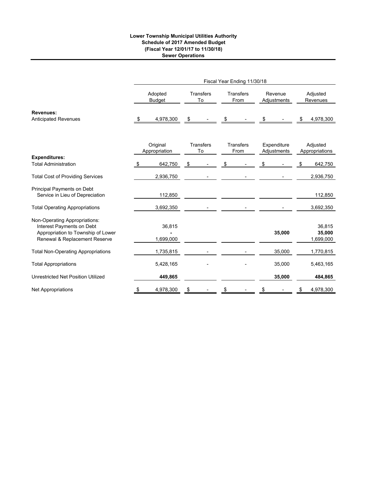### **Lower Township Municipal Utilities Authority Schedule of 2017 Amended Budget (Fiscal Year 12/01/17 to 11/30/18) Sewer Operations**

|                                                                                                                                   |    |                           |                        |                          | Fiscal Year Ending 11/30/18 |                        |                            |                      |                               |
|-----------------------------------------------------------------------------------------------------------------------------------|----|---------------------------|------------------------|--------------------------|-----------------------------|------------------------|----------------------------|----------------------|-------------------------------|
|                                                                                                                                   |    | Adopted<br><b>Budget</b>  | <b>Transfers</b><br>To | <b>Transfers</b><br>From |                             | Revenue<br>Adjustments |                            | Adjusted<br>Revenues |                               |
| <b>Revenues:</b><br><b>Anticipated Revenues</b>                                                                                   | \$ | 4,978,300                 | \$                     | \$                       |                             | \$                     |                            | \$                   | 4,978,300                     |
|                                                                                                                                   |    |                           |                        |                          |                             |                        |                            |                      |                               |
|                                                                                                                                   |    | Original<br>Appropriation | <b>Transfers</b><br>To |                          | Transfers<br>From           |                        | Expenditure<br>Adjustments |                      | Adjusted<br>Appropriations    |
| <b>Expenditures:</b>                                                                                                              |    |                           |                        |                          |                             |                        |                            |                      |                               |
| <b>Total Administration</b>                                                                                                       | S  | 642,750                   | \$                     | \$                       |                             | \$                     |                            | \$                   | 642,750                       |
| <b>Total Cost of Providing Services</b>                                                                                           |    | 2,936,750                 |                        |                          |                             |                        |                            |                      | 2,936,750                     |
| Principal Payments on Debt<br>Service in Lieu of Depreciation                                                                     |    | 112,850                   |                        |                          |                             |                        |                            |                      | 112,850                       |
| <b>Total Operating Appropriations</b>                                                                                             |    | 3,692,350                 |                        |                          |                             |                        |                            |                      | 3,692,350                     |
| Non-Operating Appropriations:<br>Interest Payments on Debt<br>Appropriation to Township of Lower<br>Renewal & Replacement Reserve |    | 36,815<br>1,699,000       |                        |                          |                             |                        | 35,000                     |                      | 36,815<br>35,000<br>1,699,000 |
| <b>Total Non-Operating Appropriations</b>                                                                                         |    | 1,735,815                 |                        |                          |                             |                        | 35,000                     |                      | 1,770,815                     |
| <b>Total Appropriations</b>                                                                                                       |    | 5,428,165                 |                        |                          |                             |                        | 35,000                     |                      | 5,463,165                     |
| Unrestricted Net Position Utilized                                                                                                |    | 449,865                   |                        |                          |                             |                        | 35,000                     |                      | 484,865                       |
| <b>Net Appropriations</b>                                                                                                         | \$ | 4,978,300                 | \$                     | \$                       |                             | \$                     |                            | \$                   | 4,978,300                     |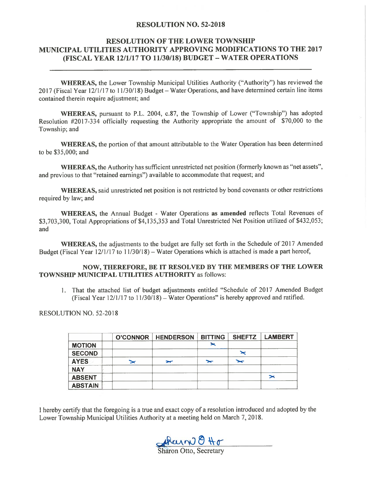## **RESOLUTION NO. 52-2018**

# **RESOLUTION OF THE LOWER TOWNSHIP** MUNICIPAL UTILITIES AUTHORITY APPROVING MODIFICATIONS TO THE 2017 (FISCAL YEAR 12/1/17 TO 11/30/18) BUDGET - WATER OPERATIONS

**WHEREAS, the Lower Township Municipal Utilities Authority ("Authority") has reviewed the** 2017 (Fiscal Year 12/1/17 to 11/30/18) Budget – Water Operations, and have determined certain line items contained therein require adjustment; and

WHEREAS, pursuant to P.L. 2004, c.87, the Township of Lower ("Township") has adopted Resolution #2017-334 officially requesting the Authority appropriate the amount of \$70,000 to the Township; and

**WHEREAS**, the portion of that amount attributable to the Water Operation has been determined to be \$35,000; and

**WHEREAS**, the Authority has sufficient unrestricted net position (formerly known as "net assets", and previous to that "retained earnings") available to accommodate that request; and

WHEREAS, said unrestricted net position is not restricted by bond covenants or other restrictions required by law; and

WHEREAS, the Annual Budget - Water Operations as amended reflects Total Revenues of \$3,703,300, Total Appropriations of \$4,135,353 and Total Unrestricted Net Position utilized of \$432,053; and

**WHEREAS**, the adjustments to the budget are fully set forth in the Schedule of 2017 Amended Budget (Fiscal Year  $12/1/17$  to  $11/30/18$ ) – Water Operations which is attached is made a part hereof,

## NOW, THEREFORE, BE IT RESOLVED BY THE MEMBERS OF THE LOWER **TOWNSHIP MUNICIPAL UTILITIES AUTHORITY as follows:**

1. That the attached list of budget adjustments entitled "Schedule of 2017 Amended Budget (Fiscal Year 12/1/17 to 11/30/18) – Water Operations" is hereby approved and ratified.

**RESOLUTION NO. 52-2018** 

|                |                       | <b>O'CONNOR   HENDERSON</b> | <b>BITTING</b> | <b>SHEFTZ</b> | <b>LAMBERT</b>        |
|----------------|-----------------------|-----------------------------|----------------|---------------|-----------------------|
| <b>MOTION</b>  |                       |                             |                |               |                       |
| <b>SECOND</b>  |                       |                             |                |               |                       |
| <b>AYES</b>    | $\blacktriangleright$ | $\overline{\phantom{a}}$    | $\rightarrow$  | ∽             |                       |
| <b>NAY</b>     |                       |                             |                |               |                       |
| <b>ABSENT</b>  |                       |                             |                |               | $\blacktriangleright$ |
| <b>ABSTAIN</b> |                       |                             |                |               |                       |

I hereby certify that the foregoing is a true and exact copy of a resolution introduced and adopted by the Lower Township Municipal Utilities Authority at a meeting held on March 7, 2018.

Rain 8 Ho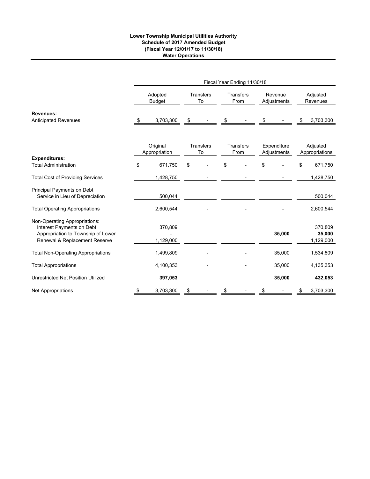## **Lower Township Municipal Utilities Authority Schedule of 2017 Amended Budget (Fiscal Year 12/01/17 to 11/30/18) Water Operations**

|                                                                                                                                   |                           |                        |                        |                   | Fiscal Year Ending 11/30/18 |                        |                            |                      |                                |
|-----------------------------------------------------------------------------------------------------------------------------------|---------------------------|------------------------|------------------------|-------------------|-----------------------------|------------------------|----------------------------|----------------------|--------------------------------|
|                                                                                                                                   | Adopted<br><b>Budget</b>  | <b>Transfers</b><br>To |                        | Transfers<br>From |                             | Revenue<br>Adjustments |                            | Adjusted<br>Revenues |                                |
| <b>Revenues:</b><br><b>Anticipated Revenues</b>                                                                                   | \$<br>3,703,300           | \$                     |                        | \$                |                             | S                      |                            | \$                   | 3,703,300                      |
|                                                                                                                                   |                           |                        |                        |                   |                             |                        |                            |                      |                                |
|                                                                                                                                   | Original<br>Appropriation |                        | <b>Transfers</b><br>To |                   | <b>Transfers</b><br>From    |                        | Expenditure<br>Adjustments |                      | Adjusted<br>Appropriations     |
| <b>Expenditures:</b><br><b>Total Administration</b>                                                                               | \$<br>671,750             | \$                     |                        | \$                |                             | \$                     |                            | \$                   | 671,750                        |
| <b>Total Cost of Providing Services</b>                                                                                           | 1,428,750                 |                        |                        |                   |                             |                        |                            |                      | 1,428,750                      |
| Principal Payments on Debt<br>Service in Lieu of Depreciation                                                                     | 500,044                   |                        |                        |                   |                             |                        |                            |                      | 500,044                        |
| <b>Total Operating Appropriations</b>                                                                                             | 2,600,544                 |                        |                        |                   |                             |                        |                            |                      | 2,600,544                      |
| Non-Operating Appropriations:<br>Interest Payments on Debt<br>Appropriation to Township of Lower<br>Renewal & Replacement Reserve | 370,809<br>1,129,000      |                        |                        |                   |                             |                        | 35,000                     |                      | 370,809<br>35,000<br>1,129,000 |
| <b>Total Non-Operating Appropriations</b>                                                                                         | 1,499,809                 |                        |                        |                   |                             |                        | 35,000                     |                      | 1,534,809                      |
| <b>Total Appropriations</b>                                                                                                       | 4,100,353                 |                        |                        |                   |                             |                        | 35,000                     |                      | 4,135,353                      |
| Unrestricted Net Position Utilized                                                                                                | 397,053                   |                        |                        |                   |                             |                        | 35,000                     |                      | 432,053                        |
| <b>Net Appropriations</b>                                                                                                         | \$<br>3,703,300           | \$                     |                        | \$                |                             | \$                     |                            | \$                   | 3,703,300                      |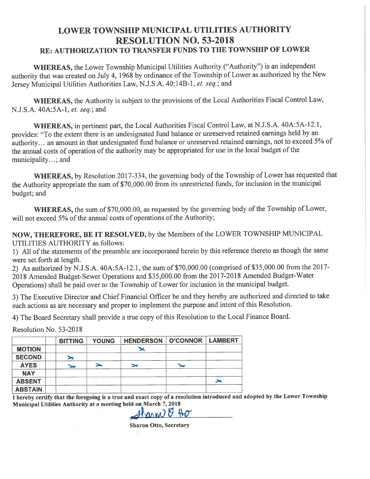# **LOWER TOWNSHIP MUNICIPAL UTILITIES AUTHORITY RESOLUTION NO. 53-2018** RE: AUTHORIZATION TO TRANSFER FUNDS TO THE TOWNSHIP OF LOWER

WHEREAS, the Lower Township Municipal Utilities Authority ("Authority") is an independent authority that was created on July 4, 1968 by ordinance of the Township of Lower as authorized by the New Jersey Municipal Utilities Authorities Law, N.J.S.A. 40:14B-1, et. seq.; and

WHEREAS, the Authority is subject to the provisions of the Local Authorities Fiscal Control Law, N.J.S.A. 40A:5A-1, et. seq.; and

WHEREAS, in pertinent part, the Local Authorities Fiscal Control Law, at N.J.S.A. 40A:5A-12.1, provides: "To the extent there is an undesignated fund balance or unreserved retained earnings held by an authority... an amount in that undesignated fund balance or unreserved retained earnings, not to exceed 5% of the annual costs of operation of the authority may be appropriated for use in the local budget of the municipality...; and

WHEREAS, by Resolution 2017-334, the governing body of the Township of Lower has requested that the Authority appropriate the sum of \$70,000.00 from its unrestricted funds, for inclusion in the municipal budget; and

WHEREAS, the sum of \$70,000.00, as requested by the governing body of the Township of Lower, will not exceed 5% of the annual costs of operations of the Authority;

NOW, THEREFORE, BE IT RESOLVED, by the Members of the LOWER TOWNSHIP MUNICIPAL UTILITIES AUTHORITY as follows:

1) All of the statements of the preamble are incorporated herein by this reference thereto as though the same were set forth at length.

2) As authorized by N.J.S.A. 40A:5A-12.1, the sum of \$70,000.00 (comprised of \$35,000.00 from the 2017-2018 Amended Budget-Sewer Operations and \$35,000.00 from the 2017-2018 Amended Budget-Water Operations) shall be paid over to the Township of Lower for inclusion in the municipal budget.

3) The Executive Director and Chief Financial Officer be and they hereby are authorized and directed to take such actions as are necessary and proper to implement the purpose and intent of this Resolution.

4) The Board Secretary shall provide a true copy of this Resolution to the Local Finance Board.

Resolution No. 53-2018

|                | <b>BITTING</b>        | <b>YOUNG</b> | <b>HENDERSON</b> | O'CONNOR   LAMBERT |  |
|----------------|-----------------------|--------------|------------------|--------------------|--|
| <b>MOTION</b>  |                       |              | ≍                |                    |  |
| <b>SECOND</b>  | ➤                     |              |                  |                    |  |
| <b>AYES</b>    | $\blacktriangleright$ |              | $\rightarrow$    |                    |  |
| <b>NAY</b>     |                       |              |                  |                    |  |
| <b>ABSENT</b>  |                       |              |                  |                    |  |
| <b>ABSTAIN</b> |                       |              |                  |                    |  |

I hereby certify that the foregoing is a true and exact copy of a resolution introduced and adopted by the Lower Township Municipal Utilities Authority at a meeting held on March 7, 2018

Sharme & Ho

**Sharon Otto, Secretary**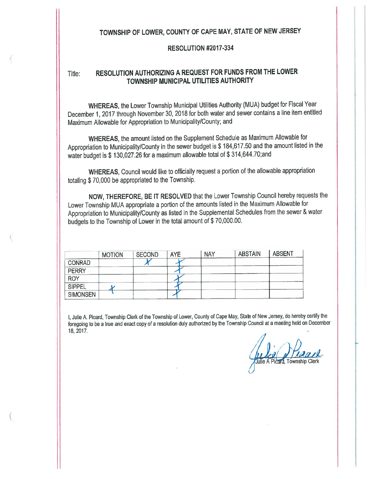# TOWNSHIP OF LOWER, COUNTY OF CAPE MAY, STATE OF NEW JERSEY

## **RESOLUTION #2017-334**

#### RESOLUTION AUTHORIZING A REQUEST FOR FUNDS FROM THE LOWER Title: TOWNSHIP MUNICIPAL UTILITIES AUTHORITY

WHEREAS, the Lower Township Municipal Utilities Authority (MUA) budget for Fiscal Year December 1, 2017 through November 30, 2018 for both water and sewer contains a line item entitled Maximum Allowable for Appropriation to Municipality/County; and

WHEREAS, the amount listed on the Supplement Schedule as Maximum Allowable for Appropriation to Municipality/County in the sewer budget is \$ 184,617.50 and the amount listed in the water budget is \$ 130,027.26 for a maximum allowable total of \$ 314,644.70;and

WHEREAS, Council would like to officially request a portion of the allowable appropriation totaling \$70,000 be appropriated to the Township.

NOW, THEREFORE, BE IT RESOLVED that the Lower Township Council hereby requests the Lower Township MUA appropriate a portion of the amounts listed in the Maximum Allowable for Appropriation to Municipality/County as listed in the Supplemental Schedules from the sewer & water budgets to the Township of Lower in the total amount of \$70,000.00.

|                 | <b>MOTION</b> | <b>SECOND</b> | <b>AYE</b> | <b>NAY</b> | <b>ABSTAIN</b> | <b>ABSENT</b> |
|-----------------|---------------|---------------|------------|------------|----------------|---------------|
| <b>CONRAD</b>   |               |               |            |            |                |               |
| <b>PERRY</b>    |               |               |            |            |                |               |
| <b>ROY</b>      |               |               |            |            |                |               |
| <b>SIPPEL</b>   |               |               |            |            |                |               |
| <b>SIMONSEN</b> |               |               |            |            |                |               |

I, Julie A. Picard, Township Clerk of the Township of Lower, County of Cape May, State of New Jersey, do hereby certify the foregoing to be a true and exact copy of a resolution duly authorized by the Township Council at a meeting held on December 18, 2017.

Julie A Picard, Township Clerk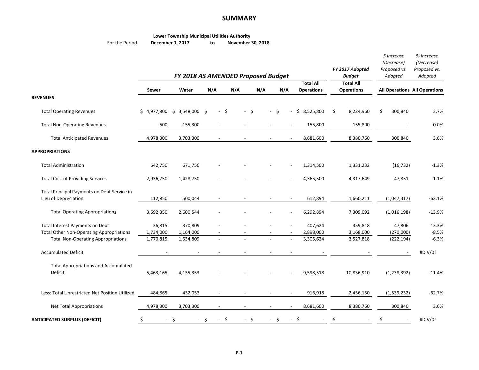#### **SUMMARY**

|                | <b>Lower Township Municipal Utilities Authority</b> |    |                   |
|----------------|-----------------------------------------------------|----|-------------------|
| For the Period | December 1, 2017                                    | to | November 30, 2018 |

|                                                 |                               | FY 2018 AS AMENDED Proposed Budget |                            |                          |                          |                          |                   | FY 2017 Adopted<br><b>Budget</b> | \$ Increase<br>(Decrease)<br>Proposed vs.<br>Adopted | % Increase<br>(Decrease)<br>Proposed vs.<br>Adopted |
|-------------------------------------------------|-------------------------------|------------------------------------|----------------------------|--------------------------|--------------------------|--------------------------|-------------------|----------------------------------|------------------------------------------------------|-----------------------------------------------------|
|                                                 |                               |                                    |                            |                          |                          |                          | <b>Total All</b>  | <b>Total All</b>                 |                                                      |                                                     |
|                                                 | <b>Sewer</b>                  | Water                              | N/A                        | N/A                      | N/A                      | N/A                      | <b>Operations</b> | <b>Operations</b>                | <b>All Operations All Operations</b>                 |                                                     |
| <b>REVENUES</b>                                 |                               |                                    |                            |                          |                          |                          |                   |                                  |                                                      |                                                     |
| <b>Total Operating Revenues</b>                 | $$4,977,800 \t$3,548,000 \t$$ |                                    | -\$<br>$\mathcal{L}^{\pm}$ | $-5$                     | $\sim$                   | -\$                      | \$8,525,800       | \$<br>8,224,960                  | Ś.<br>300,840                                        | 3.7%                                                |
| <b>Total Non-Operating Revenues</b>             | 500                           | 155,300                            |                            |                          |                          |                          | 155,800           | 155,800                          |                                                      | 0.0%                                                |
| <b>Total Anticipated Revenues</b>               | 4,978,300                     | 3,703,300                          |                            | $\overline{\phantom{a}}$ | $\overline{\phantom{a}}$ | $\overline{\phantom{a}}$ | 8,681,600         | 8,380,760                        | 300,840                                              | 3.6%                                                |
| <b>APPROPRIATIONS</b>                           |                               |                                    |                            |                          |                          |                          |                   |                                  |                                                      |                                                     |
| <b>Total Administration</b>                     | 642,750                       | 671,750                            |                            |                          |                          |                          | 1,314,500         | 1,331,232                        | (16, 732)                                            | $-1.3%$                                             |
| <b>Total Cost of Providing Services</b>         | 2,936,750                     | 1,428,750                          |                            |                          |                          |                          | 4,365,500         | 4,317,649                        | 47,851                                               | 1.1%                                                |
| Total Principal Payments on Debt Service in     |                               |                                    |                            |                          |                          |                          |                   |                                  |                                                      |                                                     |
| Lieu of Depreciation                            | 112,850                       | 500,044                            |                            |                          |                          |                          | 612,894           | 1,660,211                        | (1,047,317)                                          | $-63.1%$                                            |
| <b>Total Operating Appropriations</b>           | 3,692,350                     | 2,600,544                          |                            |                          |                          |                          | 6,292,894         | 7,309,092                        | (1,016,198)                                          | $-13.9%$                                            |
| Total Interest Payments on Debt                 | 36,815                        | 370,809                            |                            |                          |                          |                          | 407,624           | 359,818                          | 47,806                                               | 13.3%                                               |
| <b>Total Other Non-Operating Appropriations</b> | 1,734,000                     | 1,164,000                          |                            |                          |                          |                          | 2,898,000         | 3,168,000                        | (270,000)                                            | $-8.5%$                                             |
| <b>Total Non-Operating Appropriations</b>       | 1,770,815                     | 1,534,809                          |                            |                          |                          |                          | 3,305,624         | 3,527,818                        | (222, 194)                                           | $-6.3%$                                             |
| <b>Accumulated Deficit</b>                      |                               |                                    |                            |                          |                          |                          |                   |                                  |                                                      | #DIV/0!                                             |
| <b>Total Appropriations and Accumulated</b>     |                               |                                    |                            |                          |                          |                          |                   |                                  |                                                      |                                                     |
| Deficit                                         | 5,463,165                     | 4,135,353                          |                            |                          |                          |                          | 9,598,518         | 10,836,910                       | (1, 238, 392)                                        | $-11.4%$                                            |
| Less: Total Unrestricted Net Position Utilized  | 484,865                       | 432,053                            |                            |                          |                          |                          | 916,918           | 2,456,150                        | (1,539,232)                                          | $-62.7%$                                            |
| <b>Net Total Appropriations</b>                 | 4,978,300                     | 3,703,300                          |                            |                          |                          |                          | 8,681,600         | 8,380,760                        | 300,840                                              | 3.6%                                                |
| <b>ANTICIPATED SURPLUS (DEFICIT)</b>            | -\$                           | - \$                               | - \$<br>- \$               | - \$                     |                          | - \$                     | - \$              |                                  | Ş                                                    | #DIV/0!                                             |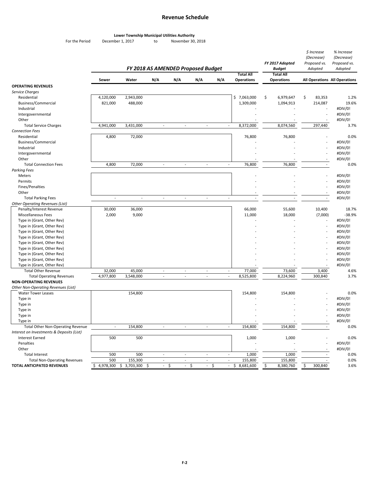## **Revenue Schedule**

*\$ Increase*

*% Increase*

#### **Lower Township Municipal Utilities Authority**

For the Period December 1, 2017 to

December 1, 2017 to November 30, 2018

|                                           |                             | FY 2018 AS AMENDED Proposed Budget |                                |                          |                                        |                                        |                                          | FY 2017 Adopted<br><b>Budget</b> |                   | (Decrease)<br>Proposed vs.<br>Adopted | (Decrease)<br>Proposed vs.<br>Adopted |  |
|-------------------------------------------|-----------------------------|------------------------------------|--------------------------------|--------------------------|----------------------------------------|----------------------------------------|------------------------------------------|----------------------------------|-------------------|---------------------------------------|---------------------------------------|--|
|                                           |                             |                                    |                                |                          |                                        |                                        | <b>Total All</b>                         |                                  | <b>Total All</b>  |                                       |                                       |  |
|                                           | Sewer                       | Water                              | N/A                            | N/A                      | N/A                                    | N/A                                    | <b>Operations</b>                        |                                  | <b>Operations</b> |                                       | All Operations All Operations         |  |
| <b>OPERATING REVENUES</b>                 |                             |                                    |                                |                          |                                        |                                        |                                          |                                  |                   |                                       |                                       |  |
| Service Charges                           |                             |                                    |                                |                          |                                        |                                        |                                          |                                  |                   |                                       |                                       |  |
| Residential                               | 4,120,000                   | 2,943,000                          |                                |                          |                                        |                                        | \$7,063,000                              | \$                               | 6,979,647         | \$<br>83,353                          | 1.2%                                  |  |
| Business/Commercial                       | 821,000                     | 488,000                            |                                |                          |                                        |                                        | 1,309,000                                |                                  | 1,094,913         | 214,087                               | 19.6%                                 |  |
| Industrial                                |                             |                                    |                                |                          |                                        |                                        |                                          |                                  |                   |                                       | #DIV/0!                               |  |
| Intergovernmental                         |                             |                                    |                                |                          |                                        |                                        |                                          |                                  |                   | $\overline{a}$                        | #DIV/0!                               |  |
| Other                                     |                             |                                    |                                |                          |                                        |                                        |                                          |                                  |                   |                                       | #DIV/0!                               |  |
| <b>Total Service Charges</b>              | 4,941,000                   | 3,431,000                          | $\sim$                         | $\overline{\phantom{a}}$ |                                        | $\overline{\phantom{a}}$               | 8,372,000<br>$\mathcal{L}_{\mathcal{A}}$ |                                  | 8,074,560         | 297,440                               | 3.7%                                  |  |
| <b>Connection Fees</b>                    |                             |                                    |                                |                          |                                        |                                        |                                          |                                  |                   |                                       |                                       |  |
| Residential                               | 4,800                       | 72,000                             |                                |                          |                                        |                                        | 76,800                                   |                                  | 76,800            |                                       | 0.0%                                  |  |
| Business/Commercial                       |                             |                                    |                                |                          |                                        |                                        |                                          |                                  |                   |                                       | #DIV/0!                               |  |
| Industrial                                |                             |                                    |                                |                          |                                        |                                        |                                          |                                  |                   |                                       | #DIV/0!                               |  |
| Intergovernmental                         |                             |                                    |                                |                          |                                        |                                        |                                          |                                  |                   |                                       | #DIV/0!                               |  |
| Other                                     |                             |                                    |                                |                          |                                        |                                        |                                          |                                  |                   |                                       | #DIV/0!                               |  |
| <b>Total Connection Fees</b>              | 4,800                       | 72,000                             | $\sim$                         | ÷,                       |                                        | $\sim$                                 | 76,800<br>$\overline{\phantom{a}}$       |                                  | 76,800            | $\sim$                                | 0.0%                                  |  |
| <b>Parking Fees</b>                       |                             |                                    |                                |                          |                                        |                                        |                                          |                                  |                   |                                       |                                       |  |
| Meters                                    |                             |                                    |                                |                          |                                        |                                        |                                          |                                  |                   |                                       | #DIV/0!                               |  |
| Permits                                   |                             |                                    |                                |                          |                                        |                                        |                                          |                                  |                   |                                       | #DIV/0!                               |  |
| Fines/Penalties                           |                             |                                    |                                |                          |                                        |                                        |                                          |                                  |                   |                                       | #DIV/0!                               |  |
| Other                                     |                             |                                    |                                |                          |                                        |                                        |                                          |                                  |                   |                                       | #DIV/0!                               |  |
| <b>Total Parking Fees</b>                 | $\overline{\phantom{a}}$    | $\overline{\phantom{a}}$           | L,                             | $\overline{a}$           |                                        | $\overline{\phantom{a}}$               | $\overline{\phantom{a}}$                 |                                  |                   | $\sim$                                | #DIV/0!                               |  |
| <b>Other Operating Revenues (List)</b>    |                             |                                    |                                |                          |                                        |                                        |                                          |                                  |                   |                                       |                                       |  |
| Penalty/Interest Revenue                  | 30,000                      | 36,000                             |                                |                          |                                        |                                        | 66,000                                   |                                  | 55,600            | 10,400                                | 18.7%                                 |  |
| Miscellaneous Fees                        | 2,000                       | 9,000                              |                                |                          |                                        |                                        | 11,000                                   |                                  | 18,000            | (7,000)                               | $-38.9%$                              |  |
| Type in (Grant, Other Rev)                |                             |                                    |                                |                          |                                        |                                        |                                          |                                  |                   |                                       | #DIV/0!                               |  |
| Type in (Grant, Other Rev)                |                             |                                    |                                |                          |                                        |                                        |                                          |                                  |                   |                                       | #DIV/0!                               |  |
| Type in (Grant, Other Rev)                |                             |                                    |                                |                          |                                        |                                        |                                          |                                  |                   |                                       | #DIV/0!                               |  |
| Type in (Grant, Other Rev)                |                             |                                    |                                |                          |                                        |                                        |                                          |                                  |                   |                                       | #DIV/0!                               |  |
| Type in (Grant, Other Rev)                |                             |                                    |                                |                          |                                        |                                        |                                          |                                  |                   |                                       | #DIV/0!                               |  |
| Type in (Grant, Other Rev)                |                             |                                    |                                |                          |                                        |                                        |                                          |                                  |                   |                                       | #DIV/0!                               |  |
| Type in (Grant, Other Rev)                |                             |                                    |                                |                          |                                        |                                        |                                          |                                  |                   |                                       | #DIV/0!                               |  |
| Type in (Grant, Other Rev)                |                             |                                    |                                |                          |                                        |                                        |                                          |                                  |                   |                                       | #DIV/0!                               |  |
| Type in (Grant, Other Rev)                |                             |                                    |                                |                          |                                        |                                        |                                          |                                  |                   |                                       | #DIV/0!                               |  |
| <b>Total Other Revenue</b>                | 32,000                      | 45,000                             | ÷,                             | $\overline{a}$           |                                        |                                        | 77,000<br>$\overline{\phantom{a}}$       |                                  | 73,600            | 3,400                                 | 4.6%                                  |  |
| <b>Total Operating Revenues</b>           | 4,977,800                   | 3,548,000                          | $\overline{\phantom{a}}$       | $\overline{a}$           |                                        | $\overline{a}$                         | 8,525,800<br>$\overline{\phantom{a}}$    |                                  | 8,224,960         | 300,840                               | 3.7%                                  |  |
| <b>NON-OPERATING REVENUES</b>             |                             |                                    |                                |                          |                                        |                                        |                                          |                                  |                   |                                       |                                       |  |
| Other Non-Operating Revenues (List)       |                             |                                    |                                |                          |                                        |                                        |                                          |                                  |                   |                                       |                                       |  |
| <b>Water Tower Leases</b>                 |                             | 154,800                            |                                |                          |                                        |                                        | 154,800                                  |                                  | 154,800           |                                       | 0.0%                                  |  |
| Type in                                   |                             |                                    |                                |                          |                                        |                                        |                                          |                                  |                   |                                       | #DIV/0!                               |  |
| Type in                                   |                             |                                    |                                |                          |                                        |                                        |                                          |                                  |                   |                                       | #DIV/0!                               |  |
| Type in                                   |                             |                                    |                                |                          |                                        |                                        |                                          |                                  |                   |                                       | #DIV/0!                               |  |
| Type in                                   |                             |                                    |                                |                          |                                        |                                        |                                          |                                  |                   |                                       | #DIV/0!                               |  |
| Type in                                   |                             |                                    |                                |                          |                                        |                                        |                                          |                                  |                   |                                       | #DIV/0!                               |  |
| <b>Total Other Non-Operating Revenue</b>  | $\mathcal{L}_{\mathcal{A}}$ | 154,800                            | $\overline{\phantom{a}}$       | $\overline{\phantom{a}}$ |                                        | $\overline{\phantom{a}}$               | 154,800<br>$\overline{\phantom{a}}$      |                                  | 154,800           | $\overline{\phantom{a}}$              | 0.0%                                  |  |
| Interest on Investments & Deposits (List) |                             |                                    |                                |                          |                                        |                                        |                                          |                                  |                   |                                       |                                       |  |
| <b>Interest Earned</b>                    | 500                         | 500                                |                                |                          |                                        |                                        | 1,000                                    |                                  | 1,000             |                                       | 0.0%                                  |  |
| Penalties                                 |                             |                                    |                                |                          |                                        |                                        |                                          |                                  |                   |                                       | #DIV/0!                               |  |
| Other                                     |                             |                                    |                                |                          |                                        |                                        |                                          |                                  |                   |                                       | #DIV/0!                               |  |
| <b>Total Interest</b>                     | 500                         | 500                                | $\overline{\phantom{a}}$       | $\overline{\phantom{a}}$ |                                        | $\overline{\phantom{a}}$               | 1,000<br>$\overline{\phantom{a}}$        |                                  | 1,000             |                                       | 0.0%                                  |  |
| <b>Total Non-Operating Revenues</b>       | 500                         | 155,300                            | $\mathbb{L}$                   | $\sim$                   |                                        | $\sim$                                 | 155,800<br>$\mathcal{L}_{\mathcal{A}}$   |                                  | 155,800           |                                       | 0.0%                                  |  |
| <b>TOTAL ANTICIPATED REVENUES</b>         | \$4,978,300                 | \$3,703,300                        | \$<br>$\overline{\phantom{a}}$ | \$                       | $\zeta$<br>$\mathcal{L}_{\mathcal{A}}$ | $\zeta$<br>$\mathcal{L}_{\mathcal{A}}$ | \$8,681,600<br>$\omega$                  | \$                               | 8,380,760         | \$<br>300,840                         | 3.6%                                  |  |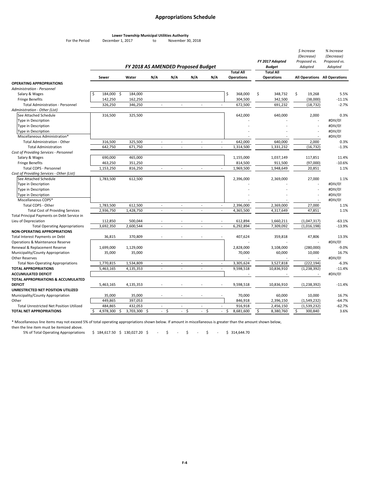## **Appropriations Schedule**

#### **Lower Township Municipal Utilities Authority**

For the Period December 1, 2017 to November 30, 2018

|                                                                              |                       | FY 2018 AS AMENDED Proposed Budget |                           |                |               |                          |                                       | FY 2017 Adopted<br><b>Budget</b>      |    | \$ Increase<br>(Decrease)<br>Proposed vs.<br>Adopted | % Increase<br>(Decrease)<br>Proposed vs.<br>Adopted |
|------------------------------------------------------------------------------|-----------------------|------------------------------------|---------------------------|----------------|---------------|--------------------------|---------------------------------------|---------------------------------------|----|------------------------------------------------------|-----------------------------------------------------|
|                                                                              | Sewer                 | Water                              | N/A                       | N/A            | N/A           | N/A                      | <b>Total All</b><br><b>Operations</b> | <b>Total All</b><br><b>Operations</b> |    |                                                      | All Operations All Operations                       |
| <b>OPERATING APPROPRIATIONS</b>                                              |                       |                                    |                           |                |               |                          |                                       |                                       |    |                                                      |                                                     |
| Administration - Personnel                                                   |                       |                                    |                           |                |               |                          |                                       |                                       |    |                                                      |                                                     |
| Salary & Wages                                                               | 184,000<br>-\$<br>Ś   | 184,000                            |                           |                |               |                          | \$<br>368,000                         | \$<br>348,732                         | \$ | 19,268                                               | 5.5%                                                |
| <b>Fringe Benefits</b>                                                       | 142,250               | 162,250                            |                           |                |               |                          | 304,500                               | 342,500                               |    | (38,000)                                             | $-11.1%$                                            |
| <b>Total Administration - Personnel</b>                                      | 326,250               | 346,250                            | $\mathcal{L}$             | $\mathcal{L}$  | ÷.            | $\sim$                   | 672,500                               | 691,232                               |    | (18, 732)                                            | $-2.7%$                                             |
| Administration - Other (List)                                                |                       |                                    |                           |                |               |                          |                                       |                                       |    |                                                      |                                                     |
| See Attached Schedule                                                        | 316,500               | 325,500                            |                           |                |               |                          | 642,000                               | 640,000                               |    | 2,000                                                | 0.3%                                                |
| Type in Description                                                          |                       |                                    |                           |                |               |                          |                                       |                                       |    |                                                      | #DIV/0!                                             |
| Type in Description                                                          |                       |                                    |                           |                |               |                          |                                       |                                       |    |                                                      | #DIV/0!                                             |
| Type in Description                                                          |                       |                                    |                           |                |               |                          |                                       |                                       |    |                                                      | #DIV/0!                                             |
| Miscellaneous Administration*                                                |                       |                                    |                           |                |               |                          |                                       |                                       |    |                                                      | #DIV/0!                                             |
| <b>Total Administration - Other</b>                                          | 316,500               | 325,500                            | $\sim$                    | $\sim$         | $\sim$        | $\sim$                   | 642,000                               | 640,000                               |    | 2,000                                                | 0.3%                                                |
| <b>Total Administration</b>                                                  | 642,750               | 671,750                            | $\omega$                  | $\omega$       | $\omega$      | $\mathbb{Z}$             | 1,314,500                             | 1,331,232                             |    | (16, 732)                                            | $-1.3%$                                             |
| Cost of Providing Services - Personnel                                       |                       |                                    |                           |                |               |                          |                                       |                                       |    |                                                      |                                                     |
| Salary & Wages                                                               | 690,000               | 465,000                            |                           |                |               |                          | 1,155,000                             | 1,037,149                             |    | 117,851                                              | 11.4%                                               |
| <b>Fringe Benefits</b>                                                       | 463,250               | 351,250                            |                           |                |               |                          | 814,500                               | 911,500                               |    | (97,000)                                             | $-10.6%$                                            |
| <b>Total COPS - Personnel</b>                                                | 1,153,250             | 816,250                            | $\omega$                  | $\omega$       | $\omega$      | $\omega$                 | 1,969,500                             | 1,948,649                             |    | 20,851                                               | 1.1%                                                |
| Cost of Providing Services - Other (List)                                    |                       |                                    |                           |                |               |                          |                                       |                                       |    |                                                      |                                                     |
| See Attached Schedule                                                        | 1,783,500             | 612,500                            |                           |                |               |                          | 2,396,000                             | 2,369,000                             |    | 27,000                                               | 1.1%                                                |
| Type in Description                                                          |                       |                                    |                           |                |               |                          |                                       |                                       |    |                                                      | #DIV/0!                                             |
| Type in Description                                                          |                       |                                    |                           |                |               |                          |                                       |                                       |    |                                                      | #DIV/0!                                             |
| Type in Description                                                          |                       |                                    |                           |                |               |                          |                                       |                                       |    |                                                      | #DIV/0!                                             |
| Miscellaneous COPS*                                                          |                       |                                    |                           |                |               |                          |                                       |                                       |    |                                                      | #DIV/0!                                             |
| Total COPS - Other                                                           | 1,783,500             | 612,500                            | $\sim$                    | $\sim$         | $\sim$        | $\overline{\phantom{a}}$ | 2,396,000                             | 2,369,000                             |    | 27,000                                               | 1.1%                                                |
| <b>Total Cost of Providing Services</b>                                      | 2,936,750             | 1,428,750                          | $\sim$                    | $\sim$         | $\mathcal{L}$ | $\omega$                 | 4,365,500                             | 4,317,649                             |    | 47,851                                               | 1.1%                                                |
| Total Principal Payments on Debt Service in<br>Lieu of Depreciation          | 112,850               | 500,044                            | $\overline{\phantom{a}}$  |                | ä,            | $\sim$                   | 612,894                               |                                       |    |                                                      | $-63.1%$                                            |
|                                                                              |                       |                                    | L.                        | $\sim$         | $\sim$        | $\sim$                   |                                       | 1,660,211                             |    | (1,047,317)                                          | $-13.9%$                                            |
| <b>Total Operating Appropriations</b><br><b>NON-OPERATING APPROPRIATIONS</b> | 3,692,350             | 2,600,544                          |                           |                |               |                          | 6,292,894                             | 7,309,092                             |    | (1,016,198)                                          |                                                     |
| Total Interest Payments on Debt                                              | 36,815                | 370,809                            |                           |                |               |                          | 407,624                               | 359,818                               |    | 47,806                                               | 13.3%                                               |
| Operations & Maintenance Reserve                                             |                       |                                    |                           |                |               |                          |                                       |                                       |    |                                                      | #DIV/0!                                             |
| Renewal & Replacement Reserve                                                | 1,699,000             | 1,129,000                          |                           |                |               |                          | 2,828,000                             | 3,108,000                             |    | (280,000)                                            | $-9.0%$                                             |
| Municipality/County Appropriation                                            | 35,000                | 35,000                             |                           |                |               |                          | 70,000                                | 60,000                                |    | 10,000                                               | 16.7%                                               |
| <b>Other Reserves</b>                                                        |                       |                                    |                           |                |               |                          |                                       |                                       |    |                                                      | #DIV/0!                                             |
| <b>Total Non-Operating Appropriations</b>                                    | 1,770,815             | 1,534,809                          |                           |                | ä,            |                          | 3,305,624                             | 3,527,818                             |    | (222, 194)                                           | $-6.3%$                                             |
| <b>TOTAL APPROPRIATIONS</b>                                                  | 5,463,165             | 4,135,353                          | L.                        |                | ÷,            | $\sim$                   | 9,598,518                             | 10,836,910                            |    | (1, 238, 392)                                        | $-11.4%$                                            |
| <b>ACCUMULATED DEFICIT</b>                                                   |                       |                                    |                           |                |               |                          |                                       |                                       |    |                                                      | #DIV/0!                                             |
| TOTAL APPROPRIATIONS & ACCUMULATED                                           |                       |                                    |                           |                |               |                          |                                       |                                       |    |                                                      |                                                     |
| <b>DEFICIT</b>                                                               | 5,463,165             | 4,135,353                          |                           |                |               |                          | 9,598,518                             | 10,836,910                            |    | (1, 238, 392)                                        | $-11.4%$                                            |
| UNRESTRICTED NET POSITION UTILIZED                                           |                       |                                    |                           |                |               |                          |                                       |                                       |    |                                                      |                                                     |
| Municipality/County Appropriation                                            | 35,000                | 35,000                             |                           |                |               |                          | 70,000                                | 60,000                                |    | 10,000                                               | 16.7%                                               |
| Other                                                                        | 449,865               | 397,053                            |                           |                |               |                          | 846,918                               | 2,396,150                             |    | (1,549,232)                                          | $-64.7%$                                            |
| <b>Total Unrestricted Net Position Utilized</b>                              | 484,865               | 432.053                            | ä,                        |                | ä,            |                          | 916,918                               | 2,456,150                             |    | (1,539,232)                                          | $-62.7%$                                            |
| TOTAL NET APPROPRIATIONS                                                     | 4,978,300<br>Ś<br>-\$ | 3,703,300                          | $\zeta$<br>\$<br>$\omega$ | \$<br>$\omega$ | $\omega$      | \$<br>÷,                 | \$<br>8,681,600                       | \$<br>8,380,760                       | \$ | 300,840                                              | 3.6%                                                |

\* Miscellaneous line items may not exceed 5% of total operating appropriations shown below. If amount in miscellaneous is greater than the amount shown below,

then the line item must be itemized above.

5% of Total Operating Appropriations \$ 184,617.50 \$ 130,027.20 \$ - \$ - \$ - \$ 314,644.70